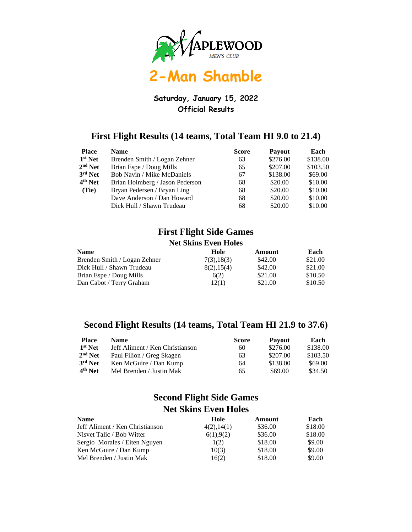

# **2-Man Shamble**

### **Saturday, January 15, 2022 Official Results**

### **First Flight Results (14 teams, Total Team HI 9.0 to 21.4)**

| <b>Place</b>        | <b>Name</b>                       | <b>Score</b> | <b>Payout</b> | Each     |
|---------------------|-----------------------------------|--------------|---------------|----------|
| $1st$ Net           | Brenden Smith / Logan Zehner      | 63           | \$276.00      | \$138.00 |
| $2nd$ Net           | Brian Espe / Doug Mills           | 65           | \$207.00      | \$103.50 |
| $3rd$ Net           | <b>Bob Navin / Mike McDaniels</b> | 67           | \$138.00      | \$69.00  |
| 4 <sup>th</sup> Net | Brian Holmberg / Jason Pederson   | 68           | \$20.00       | \$10.00  |
| (Tie)               | Bryan Pedersen / Bryan Ling       | 68           | \$20.00       | \$10.00  |
|                     | Dave Anderson / Dan Howard        | 68           | \$20.00       | \$10.00  |
|                     | Dick Hull / Shawn Trudeau         | 68           | \$20.00       | \$10.00  |

#### **First Flight Side Games Net Skins Even Holes**

| <b>Name</b>                  | Hole        | Amount  | Each    |
|------------------------------|-------------|---------|---------|
| Brenden Smith / Logan Zehner | 7(3), 18(3) | \$42.00 | \$21.00 |
| Dick Hull / Shawn Trudeau    | 8(2), 15(4) | \$42.00 | \$21.00 |
| Brian Espe / Doug Mills      | 6(2)        | \$21.00 | \$10.50 |
| Dan Cabot / Terry Graham     | 12(1)       | \$21.00 | \$10.50 |

### **Second Flight Results (14 teams, Total Team HI 21.9 to 37.6)**

| <b>Place</b>        | <b>Name</b>                     | <b>Score</b> | <b>Payout</b> | Each     |
|---------------------|---------------------------------|--------------|---------------|----------|
| $1st$ Net           | Jeff Aliment / Ken Christianson | 60           | \$276.00      | \$138.00 |
| $2nd$ Net           | Paul Filion / Greg Skagen       | 63           | \$207.00      | \$103.50 |
| 3rd Net             | Ken McGuire / Dan Kump          | 64           | \$138.00      | \$69.00  |
| 4 <sup>th</sup> Net | Mel Brenden / Justin Mak        | 65           | \$69.00       | \$34.50  |

### **Second Flight Side Games Net Skins Even Holes**

| <b>Name</b>                     | Hole        | Amount  | Each    |
|---------------------------------|-------------|---------|---------|
| Jeff Aliment / Ken Christianson | 4(2), 14(1) | \$36.00 | \$18.00 |
| Nisvet Talic / Bob Witter       | 6(1), 9(2)  | \$36.00 | \$18.00 |
| Sergio Morales / Eiten Nguyen   | 1(2)        | \$18.00 | \$9.00  |
| Ken McGuire / Dan Kump          | 10(3)       | \$18.00 | \$9.00  |
| Mel Brenden / Justin Mak        | 16(2)       | \$18.00 | \$9.00  |